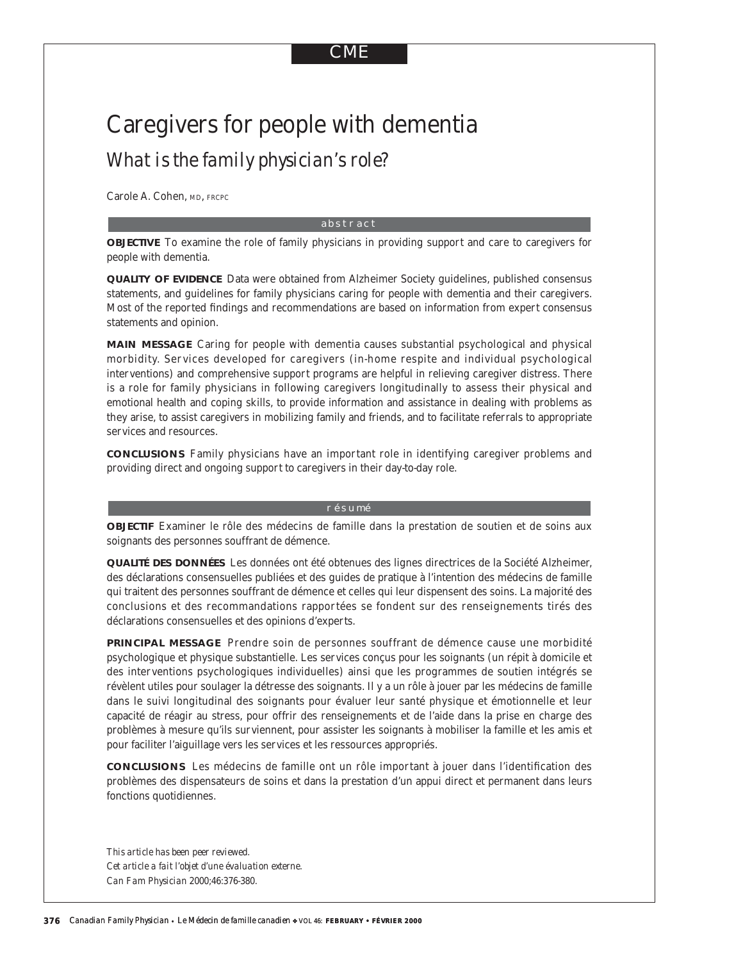# CME

# Caregivers for people with dementia *What is the family physician's role?*

Carole A. Cohen, MD, FRCPC

#### abstract

**OBJECTIVE** To examine the role of family physicians in providing support and care to caregivers for people with dementia.

**QUALITY OF EVIDENCE** Data were obtained from Alzheimer Society guidelines, published consensus statements, and guidelines for family physicians caring for people with dementia and their caregivers. Most of the reported findings and recommendations are based on information from expert consensus statements and opinion.

**MAIN MESSAGE** Caring for people with dementia causes substantial psychological and physical morbidity. Ser vices developed for caregivers (in-home respite and individual psychological interventions) and comprehensive support programs are helpful in relieving caregiver distress. There is a role for family physicians in following caregivers longitudinally to assess their physical and emotional health and coping skills, to provide information and assistance in dealing with problems as they arise, to assist caregivers in mobilizing family and friends, and to facilitate referrals to appropriate services and resources.

**CONCLUSIONS** Family physicians have an important role in identifying caregiver problems and providing direct and ongoing support to caregivers in their day-to-day role.

#### résumé

**OBJECTIF** Examiner le rôle des médecins de famille dans la prestation de soutien et de soins aux soignants des personnes souffrant de démence.

**QUALITÉ DES DONNÉES** Les données ont été obtenues des lignes directrices de la Société Alzheimer, des déclarations consensuelles publiées et des guides de pratique à l'intention des médecins de famille qui traitent des personnes souffrant de démence et celles qui leur dispensent des soins. La majorité des conclusions et des recommandations rapportées se fondent sur des renseignements tirés des déclarations consensuelles et des opinions d'experts.

**PRINCIPAL MESSAGE** Prendre soin de personnes souffrant de démence cause une morbidité psychologique et physique substantielle. Les services conçus pour les soignants (un répit à domicile et des interventions psychologiques individuelles) ainsi que les programmes de soutien intégrés se révèlent utiles pour soulager la détresse des soignants. Il y a un rôle à jouer par les médecins de famille dans le suivi longitudinal des soignants pour évaluer leur santé physique et émotionnelle et leur capacité de réagir au stress, pour offrir des renseignements et de l'aide dans la prise en charge des problèmes à mesure qu'ils surviennent, pour assister les soignants à mobiliser la famille et les amis et pour faciliter l'aiguillage vers les services et les ressources appropriés.

**CONCLUSIONS** Les médecins de famille ont un rôle important à jouer dans l'identification des problèmes des dispensateurs de soins et dans la prestation d'un appui direct et permanent dans leurs fonctions quotidiennes.

*This article has been peer reviewed. Cet article a fait l'objet d'une évaluation externe. Can Fam Physician* 2000;46:376-380.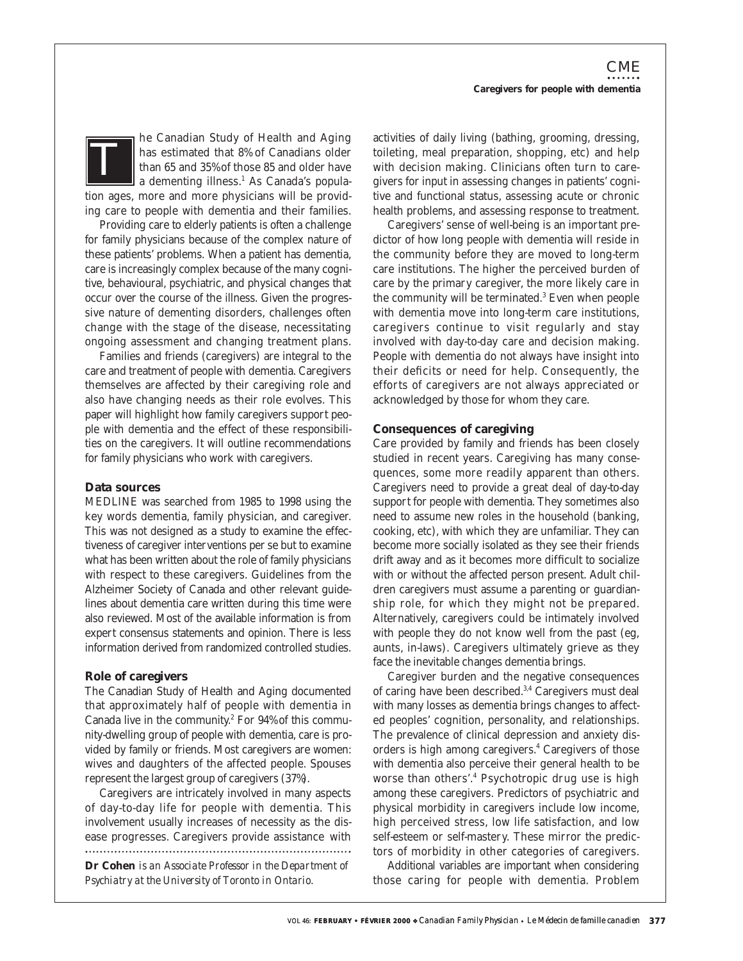he Canadian Study of Health and Aging has estimated that 8% of Canadians older than 65 and 35% of those 85 and older have a dementing illness.<sup>1</sup> As Canada's population ages, more and more physicians will be providing care to people with dementia and their families. *T*

Providing care to elderly patients is often a challenge for family physicians because of the complex nature of these patients' problems. When a patient has dementia, care is increasingly complex because of the many cognitive, behavioural, psychiatric, and physical changes that occur over the course of the illness. Given the progressive nature of dementing disorders, challenges often change with the stage of the disease, necessitating ongoing assessment and changing treatment plans.

Families and friends (caregivers) are integral to the care and treatment of people with dementia. Caregivers themselves are affected by their caregiving role and also have changing needs as their role evolves. This paper will highlight how family caregivers support people with dementia and the effect of these responsibilities on the caregivers. It will outline recommendations for family physicians who work with caregivers.

#### **Data sources**

MEDLINE was searched from 1985 to 1998 using the key words dementia, family physician, and caregiver. This was not designed as a study to examine the effectiveness of caregiver interventions per se but to examine what has been written about the role of family physicians with respect to these caregivers. Guidelines from the Alzheimer Society of Canada and other relevant guidelines about dementia care written during this time were also reviewed. Most of the available information is from expert consensus statements and opinion. There is less information derived from randomized controlled studies.

## **Role of caregivers**

The Canadian Study of Health and Aging documented that approximately half of people with dementia in Canada live in the community.<sup>2</sup> For  $94\%$  of this community-dwelling group of people with dementia, care is provided by family or friends. Most caregivers are women: wives and daughters of the affected people. Spouses represent the largest group of caregivers (37%).

Caregivers are intricately involved in many aspects of day-to-day life for people with dementia. This involvement usually increases of necessity as the disease progresses. Caregivers provide assistance with

**Dr Cohen** *is an Associate Professor in the Department of Psychiatry at the University of Toronto in Ontario.*

activities of daily living (bathing, grooming, dressing, toileting, meal preparation, shopping, etc) and help with decision making. Clinicians often turn to caregivers for input in assessing changes in patients' cognitive and functional status, assessing acute or chronic health problems, and assessing response to treatment.

Caregivers' sense of well-being is an important predictor of how long people with dementia will reside in the community before they are moved to long-term care institutions. The higher the perceived burden of care by the primary caregiver, the more likely care in the community will be terminated.<sup>3</sup> Even when people with dementia move into long-term care institutions, caregivers continue to visit regularly and stay involved with day-to-day care and decision making. People with dementia do not always have insight into their deficits or need for help. Consequently, the efforts of caregivers are not always appreciated or acknowledged by those for whom they care.

## **Consequences of caregiving**

Care provided by family and friends has been closely studied in recent years. Caregiving has many consequences, some more readily apparent than others. Caregivers need to provide a great deal of day-to-day support for people with dementia. They sometimes also need to assume new roles in the household (banking, cooking, etc), with which they are unfamiliar. They can become more socially isolated as they see their friends drift away and as it becomes more difficult to socialize with or without the affected person present. Adult children caregivers must assume a parenting or guardianship role, for which they might not be prepared. Alternatively, caregivers could be intimately involved with people they do not know well from the past (eg, aunts, in-laws). Caregivers ultimately grieve as they face the inevitable changes dementia brings.

Caregiver burden and the negative consequences of caring have been described.<sup>3,4</sup> Caregivers must deal with many losses as dementia brings changes to affected peoples' cognition, personality, and relationships. The prevalence of clinical depression and anxiety disorders is high among caregivers.<sup>4</sup> Caregivers of those with dementia also perceive their general health to be worse than others'.<sup>4</sup> Psychotropic drug use is high among these caregivers. Predictors of psychiatric and physical morbidity in caregivers include low income, high perceived stress, low life satisfaction, and low self-esteem or self-mastery. These mirror the predictors of morbidity in other categories of caregivers.

Additional variables are important when considering those caring for people with dementia. Problem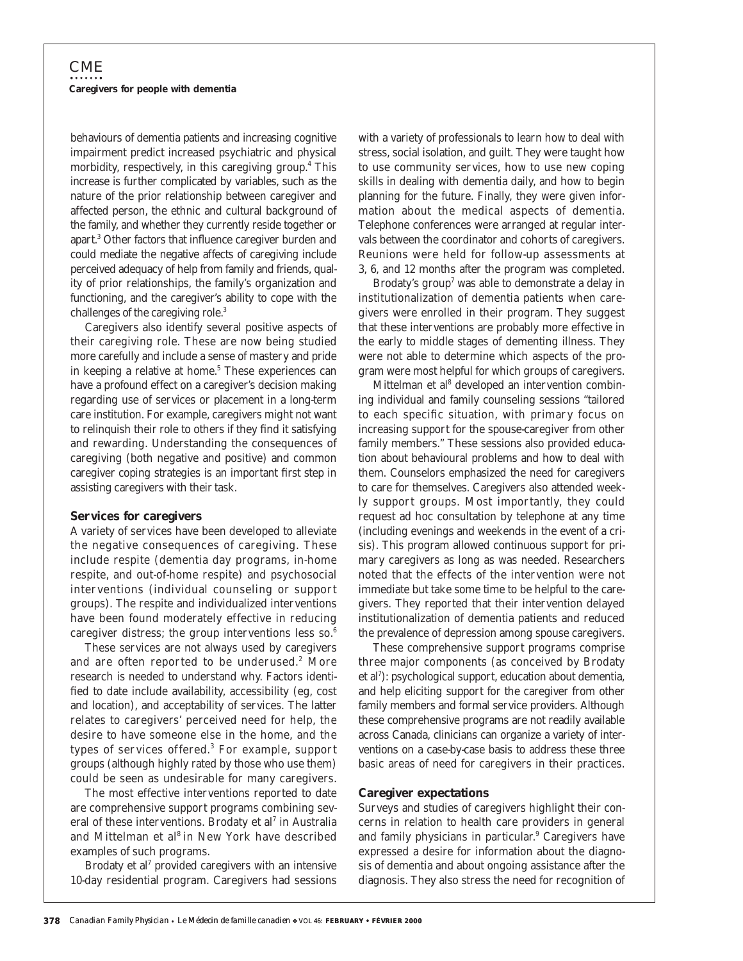behaviours of dementia patients and increasing cognitive impairment predict increased psychiatric and physical morbidity, respectively, in this caregiving group.<sup>4</sup> This increase is further complicated by variables, such as the nature of the prior relationship between caregiver and affected person, the ethnic and cultural background of the family, and whether they currently reside together or apart.3 Other factors that influence caregiver burden and could mediate the negative affects of caregiving include perceived adequacy of help from family and friends, quality of prior relationships, the family's organization and functioning, and the caregiver's ability to cope with the challenges of the caregiving role.3

Caregivers also identify several positive aspects of their caregiving role. These are now being studied more carefully and include a sense of mastery and pride in keeping a relative at home. $5$  These experiences can have a profound effect on a caregiver's decision making regarding use of services or placement in a long-term care institution. For example, caregivers might not want to relinquish their role to others if they find it satisfying and rewarding. Understanding the consequences of caregiving (both negative and positive) and common caregiver coping strategies is an important first step in assisting caregivers with their task.

#### **Services for caregivers**

A variety of services have been developed to alleviate the negative consequences of caregiving. These include respite (dementia day programs, in-home respite, and out-of-home respite) and psychosocial interventions (individual counseling or support groups). The respite and individualized interventions have been found moderately effective in reducing caregiver distress; the group interventions less  $so.<sup>6</sup>$ 

These services are not always used by caregivers and are often reported to be underused.<sup>2</sup> More research is needed to understand why. Factors identified to date include availability, accessibility (eg, cost and location), and acceptability of services. The latter relates to caregivers' perceived need for help, the desire to have someone else in the home, and the types of services offered.3 For example, support groups (although highly rated by those who use them) could be seen as undesirable for many caregivers.

The most effective interventions reported to date are comprehensive support programs combining several of these interventions. Brodaty et al<sup>7</sup> in Australia and Mittelman et al<sup>8</sup> in New York have described examples of such programs.

Brodaty et al<sup>7</sup> provided caregivers with an intensive 10-day residential program. Caregivers had sessions

with a variety of professionals to learn how to deal with stress, social isolation, and guilt. They were taught how to use community services, how to use new coping skills in dealing with dementia daily, and how to begin planning for the future. Finally, they were given information about the medical aspects of dementia. Telephone conferences were arranged at regular intervals between the coordinator and cohorts of caregivers. Reunions were held for follow-up assessments at 3, 6, and 12 months after the program was completed.

Brodaty's group<sup>7</sup> was able to demonstrate a delay in institutionalization of dementia patients when caregivers were enrolled in their program. They suggest that these interventions are probably more effective in the early to middle stages of dementing illness. They were not able to determine which aspects of the program were most helpful for which groups of caregivers.

Mittelman et al<sup>8</sup> developed an intervention combining individual and family counseling sessions "tailored to each specific situation, with primary focus on increasing support for the spouse-caregiver from other family members." These sessions also provided education about behavioural problems and how to deal with them. Counselors emphasized the need for caregivers to care for themselves. Caregivers also attended weekly support groups. Most importantly, they could request ad hoc consultation by telephone at any time (including evenings and weekends in the event of a crisis). This program allowed continuous support for primary caregivers as long as was needed. Researchers noted that the effects of the intervention were not immediate but take some time to be helpful to the caregivers. They reported that their intervention delayed institutionalization of dementia patients and reduced the prevalence of depression among spouse caregivers.

These comprehensive support programs comprise three major components (as conceived by Brodaty et al<sup>7</sup>): psychological support, education about dementia, and help eliciting support for the caregiver from other family members and formal service providers. Although these comprehensive programs are not readily available across Canada, clinicians can organize a variety of interventions on a case-by-case basis to address these three basic areas of need for caregivers in their practices.

#### **Caregiver expectations**

Surveys and studies of caregivers highlight their concerns in relation to health care providers in general and family physicians in particular.<sup>9</sup> Caregivers have expressed a desire for information about the diagnosis of dementia and about ongoing assistance after the diagnosis. They also stress the need for recognition of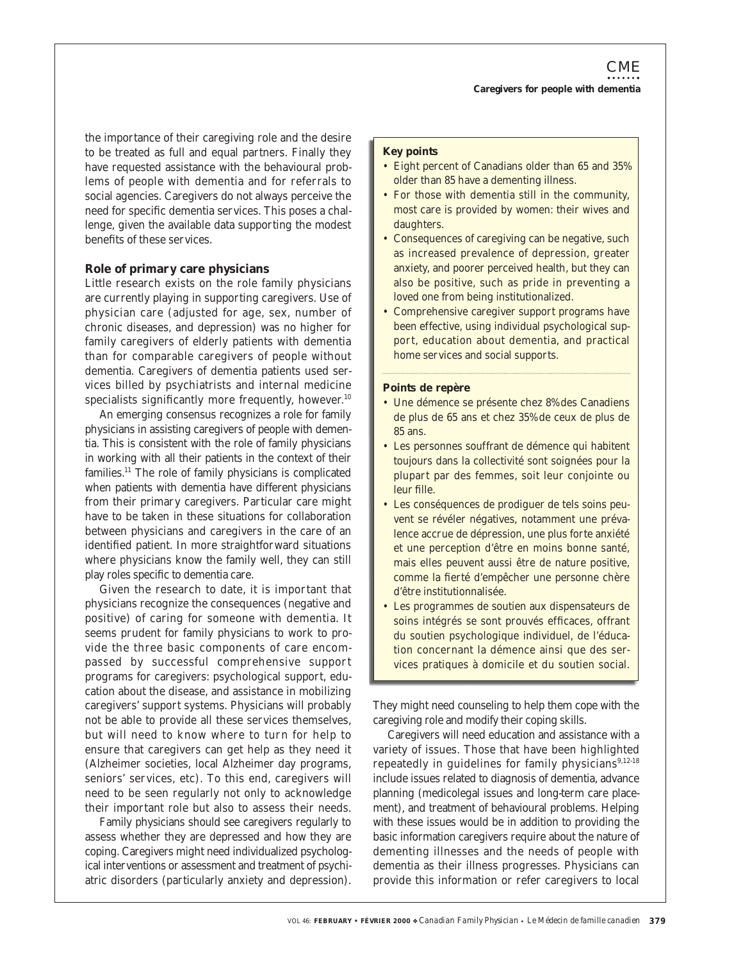the importance of their caregiving role and the desire to be treated as full and equal partners. Finally they have requested assistance with the behavioural problems of people with dementia and for referrals to social agencies. Caregivers do not always perceive the need for specific dementia services. This poses a challenge, given the available data supporting the modest benefits of these services.

# **Role of primary care physicians**

Little research exists on the role family physicians are currently playing in supporting caregivers. Use of physician care (adjusted for age, sex, number of chronic diseases, and depression) was no higher for family caregivers of elderly patients with dementia than for comparable caregivers of people without dementia. Caregivers of dementia patients used services billed by psychiatrists and internal medicine specialists significantly more frequently, however.<sup>10</sup>

An emerging consensus recognizes a role for family physicians in assisting caregivers of people with dementia. This is consistent with the role of family physicians in working with all their patients in the context of their families.11 The role of family physicians is complicated when patients with dementia have different physicians from their primary caregivers. Particular care might have to be taken in these situations for collaboration between physicians and caregivers in the care of an identified patient. In more straightforward situations where physicians know the family well, they can still play roles specific to dementia care.

Given the research to date, it is important that physicians recognize the consequences (negative and positive) of caring for someone with dementia. It seems prudent for family physicians to work to provide the three basic components of care encompassed by successful comprehensive support programs for caregivers: psychological support, education about the disease, and assistance in mobilizing caregivers' support systems. Physicians will probably not be able to provide all these services themselves, but will need to know where to turn for help to ensure that caregivers can get help as they need it (Alzheimer societies, local Alzheimer day programs, seniors' services, etc). To this end, caregivers will need to be seen regularly not only to acknowledge their important role but also to assess their needs.

Family physicians should see caregivers regularly to assess whether they are depressed and how they are coping. Caregivers might need individualized psychological interventions or assessment and treatment of psychiatric disorders (particularly anxiety and depression).

# **Key points**

- Eight percent of Canadians older than 65 and 35% older than 85 have a dementing illness.
- For those with dementia still in the community, most care is provided by women: their wives and daughters.
- Consequences of caregiving can be negative, such as increased prevalence of depression, greater anxiety, and poorer perceived health, but they can also be positive, such as pride in preventing a loved one from being institutionalized.
- Comprehensive caregiver support programs have been effective, using individual psychological support, education about dementia, and practical home services and social supports.

#### **Points de repère**

- Une démence se présente chez 8% des Canadiens de plus de 65 ans et chez 35% de ceux de plus de 85 ans.
- Les personnes souffrant de démence qui habitent toujours dans la collectivité sont soignées pour la plupart par des femmes, soit leur conjointe ou leur fille.
- Les conséquences de prodiguer de tels soins peuvent se révéler négatives, notamment une prévalence accrue de dépression, une plus forte anxiété et une perception d'être en moins bonne santé, mais elles peuvent aussi être de nature positive, comme la fierté d'empêcher une personne chère d'être institutionnalisée.
- Les programmes de soutien aux dispensateurs de soins intégrés se sont prouvés efficaces, offrant du soutien psychologique individuel, de l'éducation concernant la démence ainsi que des services pratiques à domicile et du soutien social.

They might need counseling to help them cope with the caregiving role and modify their coping skills.

Caregivers will need education and assistance with a variety of issues. Those that have been highlighted repeatedly in guidelines for family physicians $9,12-18$ include issues related to diagnosis of dementia, advance planning (medicolegal issues and long-term care placement), and treatment of behavioural problems. Helping with these issues would be in addition to providing the basic information caregivers require about the nature of dementing illnesses and the needs of people with dementia as their illness progresses. Physicians can provide this information or refer caregivers to local